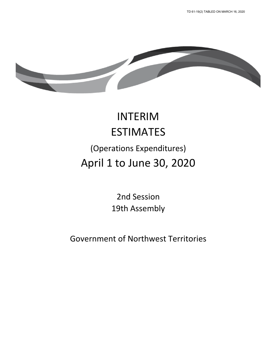

# INTERIM ESTIMATES (Operations Expenditures) April 1 to June 30, 2020

2nd Session 19th Assembly

Government of Northwest Territories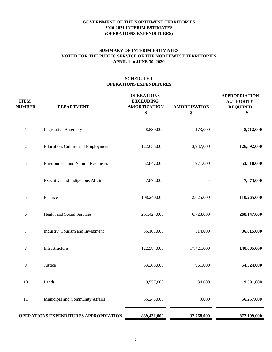# **APRIL 1 to JUNE 30, 2020 SUMMARY OF INTERIM ESTIMATES VOTED FOR THE PUBLIC SERVICE OF THE NORTHWEST TERRITORIES**

| <b>ITEM</b><br><b>NUMBER</b> | <b>DEPARTMENT</b>                            | <b>OPERATIONS</b><br><b>EXCLUDING</b><br><b>AMORTIZATION</b><br>\$ | <b>AMORTIZATION</b><br>\$ | <b>APPROPRIATION</b><br><b>AUTHORITY</b><br><b>REQUIRED</b><br>\$ |
|------------------------------|----------------------------------------------|--------------------------------------------------------------------|---------------------------|-------------------------------------------------------------------|
| $\,1$                        | Legislative Assembly                         | 8,539,000                                                          | 173,000                   | 8,712,000                                                         |
| 2                            | Education, Culture and Employment            | 122,655,000                                                        | 3,937,000                 | 126,592,000                                                       |
| 3                            | <b>Environment and Natural Resources</b>     | 52,847,000                                                         | 971,000                   | 53,818,000                                                        |
| 4                            | Executive and Indigenous Affairs             | 7,873,000                                                          |                           | 7,873,000                                                         |
| 5                            | Finance                                      | 108,240,000                                                        | 2,025,000                 | 110,265,000                                                       |
| 6                            | Health and Social Services                   | 261,424,000                                                        | 6,723,000                 | 268,147,000                                                       |
| $\tau$                       | Industry, Tourism and Investment             | 36,101,000                                                         | 514,000                   | 36,615,000                                                        |
| 8                            | Infrastructure                               | 122,584,000                                                        | 17,421,000                | 140,005,000                                                       |
| $\overline{9}$               | Justice                                      | 53,363,000                                                         | 961,000                   | 54,324,000                                                        |
| 10                           | Lands                                        | 9,557,000                                                          | 34,000                    | 9,591,000                                                         |
| 11                           | Municipal and Community Affairs              | 56,248,000                                                         | 9,000                     | 56,257,000                                                        |
|                              | <b>OPERATIONS EXPENDITURES APPROPRIATION</b> | 839,431,000                                                        | 32,768,000                | 872,199,000                                                       |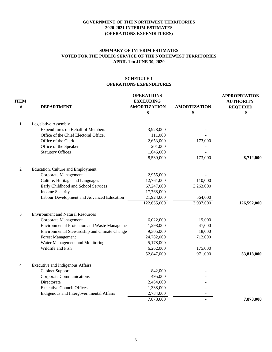# **SUMMARY OF INTERIM ESTIMATES VOTED FOR THE PUBLIC SERVICE OF THE NORTHWEST TERRITORIES APRIL 1 to JUNE 30, 2020**

| <b>ITEM</b><br># | <b>DEPARTMENT</b>                            | <b>OPERATIONS</b><br><b>EXCLUDING</b><br><b>AMORTIZATION</b> | <b>AMORTIZATION</b> | <b>APPROPRIATION</b><br><b>AUTHORITY</b><br><b>REQUIRED</b> |
|------------------|----------------------------------------------|--------------------------------------------------------------|---------------------|-------------------------------------------------------------|
|                  |                                              | \$                                                           | \$                  | \$                                                          |
| 1                | Legislative Assembly                         |                                                              |                     |                                                             |
|                  | <b>Expenditures on Behalf of Members</b>     | 3,928,000                                                    |                     |                                                             |
|                  | Office of the Chief Electoral Officer        | 111,000                                                      |                     |                                                             |
|                  | Office of the Clerk                          | 2,653,000                                                    | 173,000             |                                                             |
|                  | Office of the Speaker                        | 201,000                                                      |                     |                                                             |
|                  | <b>Statutory Offices</b>                     | 1,646,000                                                    |                     |                                                             |
|                  |                                              | 8,539,000                                                    | 173,000             | 8,712,000                                                   |
| $\overline{2}$   | Education, Culture and Employment            |                                                              |                     |                                                             |
|                  | Corporate Management                         | 2,955,000                                                    |                     |                                                             |
|                  | Culture, Heritage and Languages              | 12,761,000                                                   | 110,000             |                                                             |
|                  | Early Childhood and School Services          | 67,247,000                                                   | 3,263,000           |                                                             |
|                  | <b>Income Security</b>                       | 17,768,000                                                   |                     |                                                             |
|                  | Labour Development and Advanced Education    | 21,924,000                                                   | 564,000             |                                                             |
|                  |                                              | 122,655,000                                                  | 3,937,000           | 126,592,000                                                 |
| 3                | <b>Environment and Natural Resources</b>     |                                                              |                     |                                                             |
|                  | Corporate Management                         | 6,022,000                                                    | 19,000              |                                                             |
|                  | Environmental Protection and Waste Managemer | 1,298,000                                                    | 47,000              |                                                             |
|                  | Environmental Stewardship and Climate Change | 9,305,000                                                    | 18,000              |                                                             |
|                  | <b>Forest Management</b>                     | 24,782,000                                                   | 712,000             |                                                             |
|                  | Water Management and Monitoring              | 5,178,000                                                    |                     |                                                             |
|                  | Wildlife and Fish                            | 6,262,000                                                    | 175,000             |                                                             |
|                  |                                              | 52,847,000                                                   | 971,000             | 53,818,000                                                  |
| 4                | Executive and Indigenous Affairs             |                                                              |                     |                                                             |
|                  | <b>Cabinet Support</b>                       | 842,000                                                      |                     |                                                             |
|                  | <b>Corporate Communications</b>              | 495,000                                                      |                     |                                                             |
|                  | Directorate                                  | 2,464,000                                                    |                     |                                                             |
|                  | <b>Executive Council Offices</b>             | 1,338,000                                                    |                     |                                                             |
|                  | Indigenous and Intergovernmental Affairs     | 2,734,000                                                    |                     |                                                             |
|                  |                                              | 7,873,000                                                    |                     | 7,873,000                                                   |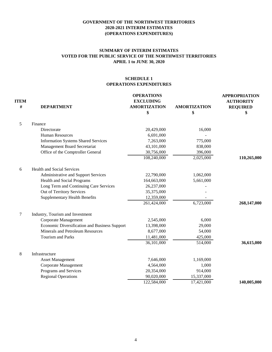# **SUMMARY OF INTERIM ESTIMATES VOTED FOR THE PUBLIC SERVICE OF THE NORTHWEST TERRITORIES APRIL 1 to JUNE 30, 2020**

| <b>ITEM</b><br># | <b>DEPARTMENT</b>                             | <b>OPERATIONS</b><br><b>EXCLUDING</b><br><b>AMORTIZATION</b> | <b>AMORTIZATION</b> | <b>APPROPRIATION</b><br><b>AUTHORITY</b><br><b>REQUIRED</b> |
|------------------|-----------------------------------------------|--------------------------------------------------------------|---------------------|-------------------------------------------------------------|
|                  |                                               | \$                                                           | \$                  | \$                                                          |
| 5                | Finance                                       |                                                              |                     |                                                             |
|                  | Directorate                                   | 20,429,000                                                   | 16,000              |                                                             |
|                  | <b>Human Resources</b>                        | 6,691,000                                                    |                     |                                                             |
|                  | <b>Information Systems Shared Services</b>    | 7,263,000                                                    | 775,000             |                                                             |
|                  | Management Board Secretariat                  | 43,101,000                                                   | 838,000             |                                                             |
|                  | Office of the Comptroller General             | 30,756,000                                                   | 396,000             |                                                             |
|                  |                                               | 108,240,000                                                  | 2,025,000           | 110,265,000                                                 |
| 6                | <b>Health and Social Services</b>             |                                                              |                     |                                                             |
|                  | Administrative and Support Services           | 22,790,000                                                   | 1,062,000           |                                                             |
|                  | Health and Social Programs                    | 164,663,000                                                  | 5,661,000           |                                                             |
|                  | Long Term and Continuing Care Services        | 26,237,000                                                   |                     |                                                             |
|                  | Out of Territory Services                     | 35,375,000                                                   |                     |                                                             |
|                  | <b>Supplementary Health Benefits</b>          | 12,359,000                                                   |                     |                                                             |
|                  |                                               | 261,424,000                                                  | 6,723,000           | 268,147,000                                                 |
| $\tau$           | Industry, Tourism and Investment              |                                                              |                     |                                                             |
|                  | Corporate Management                          | 2,545,000                                                    | 6,000               |                                                             |
|                  | Economic Diversification and Business Support | 13,398,000                                                   | 29,000              |                                                             |
|                  | Minerals and Petroleum Resources              | 8,677,000                                                    | 54,000              |                                                             |
|                  | <b>Tourism and Parks</b>                      | 11,481,000                                                   | 425,000             |                                                             |
|                  |                                               | 36,101,000                                                   | 514,000             | 36,615,000                                                  |
| 8                | Infrastructure                                |                                                              |                     |                                                             |
|                  | <b>Asset Management</b>                       | 7,646,000                                                    | 1,169,000           |                                                             |
|                  | Corporate Management                          | 4,564,000                                                    | 1,000               |                                                             |
|                  | Programs and Services                         | 20,354,000                                                   | 914,000             |                                                             |
|                  | <b>Regional Operations</b>                    | 90,020,000                                                   | 15,337,000          |                                                             |
|                  |                                               | 122,584,000                                                  | 17,421,000          | 140,005,000                                                 |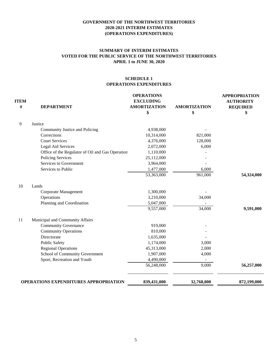# **SUMMARY OF INTERIM ESTIMATES VOTED FOR THE PUBLIC SERVICE OF THE NORTHWEST TERRITORIES APRIL 1 to JUNE 30, 2020**

| <b>ITEM</b><br>$\#$ | <b>DEPARTMENT</b>                                | <b>OPERATIONS</b><br><b>EXCLUDING</b><br><b>AMORTIZATION</b> | <b>AMORTIZATION</b> | <b>APPROPRIATION</b><br><b>AUTHORITY</b><br><b>REQUIRED</b> |
|---------------------|--------------------------------------------------|--------------------------------------------------------------|---------------------|-------------------------------------------------------------|
|                     |                                                  | \$                                                           | \$                  | \$                                                          |
| 9                   | Justice                                          |                                                              |                     |                                                             |
|                     | Community Justice and Policing                   | 4,938,000                                                    |                     |                                                             |
|                     | Corrections                                      | 10,314,000                                                   | 821,000             |                                                             |
|                     | <b>Court Services</b>                            | 4,376,000                                                    | 128,000             |                                                             |
|                     | Legal Aid Services                               | 2,072,000                                                    | 6,000               |                                                             |
|                     | Office of the Regulator of Oil and Gas Operation | 1,110,000                                                    |                     |                                                             |
|                     | <b>Policing Services</b>                         | 25,112,000                                                   |                     |                                                             |
|                     | Services to Government                           | 3,964,000                                                    |                     |                                                             |
|                     | Services to Public                               | 1,477,000                                                    | 6,000               |                                                             |
|                     |                                                  | 53,363,000                                                   | 961,000             | 54,324,000                                                  |
| 10                  | Lands                                            |                                                              |                     |                                                             |
|                     | Corporate Management                             | 1,300,000                                                    |                     |                                                             |
|                     | Operations                                       | 3,210,000                                                    | 34,000              |                                                             |
|                     | Planning and Coordination                        | 5,047,000                                                    |                     |                                                             |
|                     |                                                  | 9,557,000                                                    | 34,000              | 9,591,000                                                   |
| 11                  | Municipal and Community Affairs                  |                                                              |                     |                                                             |
|                     | <b>Community Governance</b>                      | 919,000                                                      |                     |                                                             |
|                     | <b>Community Operations</b>                      | 810,000                                                      |                     |                                                             |
|                     | Directorate                                      | 1,635,000                                                    |                     |                                                             |
|                     | <b>Public Safety</b>                             | 1,174,000                                                    | 3,000               |                                                             |
|                     | <b>Regional Operations</b>                       | 45,313,000                                                   | 2,000               |                                                             |
|                     | School of Community Government                   | 1,907,000                                                    | 4,000               |                                                             |
|                     | Sport, Recreation and Youth                      | 4,490,000                                                    |                     |                                                             |
|                     |                                                  | 56,248,000                                                   | 9,000               | 56,257,000                                                  |
|                     | <b>OPERATIONS EXPENDITURES APPROPRIATION</b>     | 839,431,000                                                  | 32,768,000          | 872,199,000                                                 |